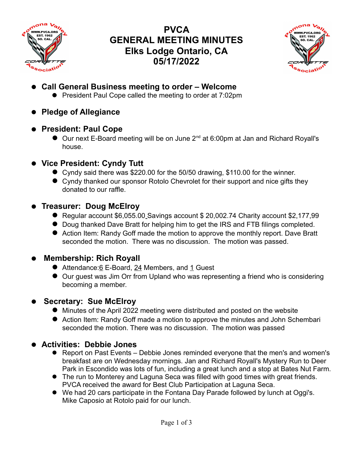

# **PVCA GENERAL MEETING MINUTES Elks Lodge Ontario, CA 05/17/2022**



- **Call General Business meeting to order Welcome**
	- **•** President Paul Cope called the meeting to order at 7:02pm
- **Pledge of Allegiance**

#### **President: Paul Cope**

- $\bullet$  Our next E-Board meeting will be on June 2<sup>nd</sup> at 6:00pm at Jan and Richard Royall's house.
- **Vice President: Cyndy Tutt**
	- Cyndy said there was \$220.00 for the 50/50 drawing, \$110.00 for the winner.
	- Cyndy thanked our sponsor Rotolo Chevrolet for their support and nice gifts they donated to our raffle.
- **Treasurer: Doug McElroy**
	- Regular account \$6,055.00 Savings account \$ 20,002.74 Charity account \$2,177,99
	- Doug thanked Dave Bratt for helping him to get the IRS and FTB filings completed.
	- Action Item: Randy Goff made the motion to approve the monthly report. Dave Bratt seconded the motion. There was no discussion. The motion was passed.

## **Membership: Rich Royall**

- Attendance:6 E-Board, 24 Members, and 1 Guest
- Our guest was Jim Orr from Upland who was representing a friend who is considering becoming a member.

## **Secretary: Sue McElroy**

- Minutes of the April 2022 meeting were distributed and posted on the website
- Action Item: Randy Goff made a motion to approve the minutes and John Schembari seconded the motion. There was no discussion. The motion was passed

## **Activities: Debbie Jones**

- Report on Past Events Debbie Jones reminded everyone that the men's and women's breakfast are on Wednesday mornings. Jan and Richard Royall's Mystery Run to Deer Park in Escondido was lots of fun, including a great lunch and a stop at Bates Nut Farm.
- The run to Monterey and Laguna Seca was filled with good times with great friends. PVCA received the award for Best Club Participation at Laguna Seca.
- We had 20 cars participate in the Fontana Day Parade followed by lunch at Oggi's. Mike Caposio at Rotolo paid for our lunch.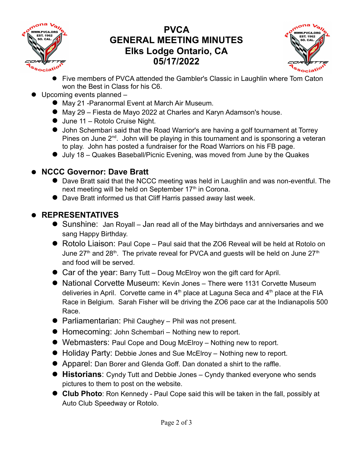

# **PVCA GENERAL MEETING MINUTES Elks Lodge Ontario, CA 05/17/2022**



- Five members of PVCA attended the Gambler's Classic in Laughlin where Tom Caton won the Best in Class for his C6.
- Upcoming events planned
	- May 21 -Paranormal Event at March Air Museum.
	- May 29 Fiesta de Mayo 2022 at Charles and Karyn Adamson's house.
	- June 11 Rotolo Cruise Night.
	- John Schembari said that the Road Warrior's are having a golf tournament at Torrey Pines on June  $2^{nd}$ . John will be playing in this tournament and is sponsoring a veteran to play. John has posted a fundraiser for the Road Warriors on his FB page.
	- July 18 Quakes Baseball/Picnic Evening, was moved from June by the Quakes

#### **NCCC Governor: Dave Bratt**

- Dave Bratt said that the NCCC meeting was held in Laughlin and was non-eventful. The next meeting will be held on September 17<sup>th</sup> in Corona.
- Dave Bratt informed us that Cliff Harris passed away last week.

## **REPRESENTATIVES**

- Sunshine: Jan Royall Jan read all of the May birthdays and anniversaries and we sang Happy Birthday.
- Rotolo Liaison: Paul Cope Paul said that the ZO6 Reveal will be held at Rotolo on June 27<sup>th</sup> and 28<sup>th</sup>. The private reveal for PVCA and guests will be held on June 27<sup>th</sup> and food will be served.
- Car of the year: Barry Tutt Doug McElroy won the gift card for April.
- National Corvette Museum: Kevin Jones There were 1131 Corvette Museum deliveries in April. Corvette came in  $4<sup>th</sup>$  place at Laguna Seca and  $4<sup>th</sup>$  place at the FIA Race in Belgium. Sarah Fisher will be driving the ZO6 pace car at the Indianapolis 500 Race.
- Parliamentarian: Phil Caughey Phil was not present.
- Homecoming: John Schembari Nothing new to report.
- Webmasters: Paul Cope and Doug McElroy Nothing new to report.
- Holiday Party: Debbie Jones and Sue McElroy Nothing new to report.
- Apparel: Dan Borer and Glenda Goff. Dan donated a shirt to the raffle.
- **Historians**: Cyndy Tutt and Debbie Jones Cyndy thanked everyone who sends pictures to them to post on the website.
- **Club Photo**: Ron Kennedy Paul Cope said this will be taken in the fall, possibly at Auto Club Speedway or Rotolo.